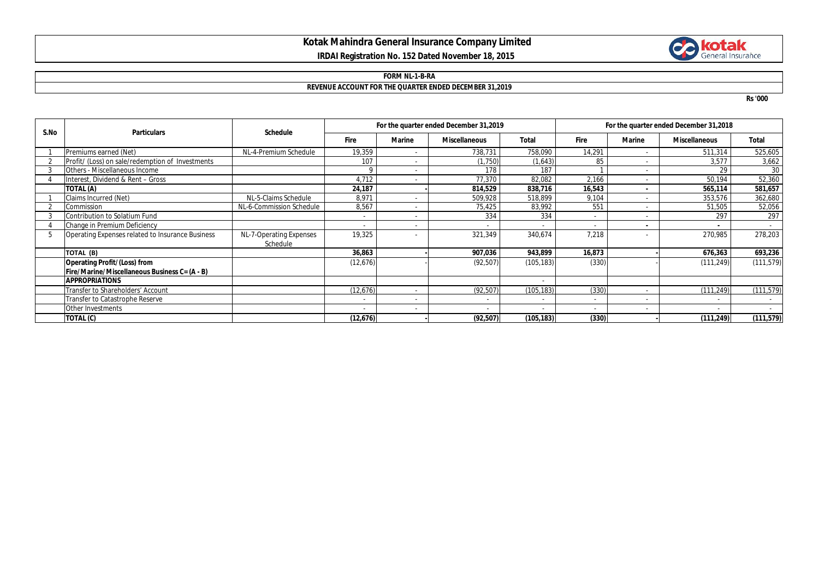# **Kotak Mahindra General Insurance Company Limited IRDAI Registration No. 152 Dated November 18, 2015**



#### **FORM NL-1-B-RA**

# **REVENUE ACCOUNT FOR THE QUARTER ENDED DECEMBER 31,2019**

**Rs '000**

| S.No | <b>Particulars</b>                               | <b>Schedule</b>                     | For the quarter ended December 31,2019 |               |                          |            | For the quarter ended December 31,2018 |                |                      |            |
|------|--------------------------------------------------|-------------------------------------|----------------------------------------|---------------|--------------------------|------------|----------------------------------------|----------------|----------------------|------------|
|      |                                                  |                                     | <b>Fire</b>                            | <b>Marine</b> | <b>Miscellaneous</b>     | Total      | <b>Fire</b>                            | <b>Marine</b>  | <b>Miscellaneous</b> | Total      |
|      | Premiums earned (Net)                            | NL-4-Premium Schedule               | 19,359                                 |               | 738,731                  | 758,090    | 14,291                                 | ٠              | 511,314              | 525,605    |
|      | Profit/ (Loss) on sale/redemption of Investments |                                     | 107                                    |               | (1,750)                  | (1,643)    | 85                                     | ۰              | 3,577                | 3,662      |
|      | Others - Miscellaneous Income                    |                                     |                                        | $\sim$        | 178                      | 187        |                                        | $\sim$         | 29                   | 30         |
|      | Interest, Dividend & Rent - Gross                |                                     | 4,712                                  |               | 77,370                   | 82,082     | 2,166                                  | $\sim$         | 50,194               | 52,360     |
|      | TOTAL (A)                                        |                                     | 24,187                                 |               | 814,529                  | 838,716    | 16,543                                 | $\blacksquare$ | 565,114              | 581,657    |
|      | Claims Incurred (Net)                            | NL-5-Claims Schedule                | 8.971                                  |               | 509.928                  | 518.899    | 9.104                                  |                | 353,576              | 362,680    |
|      | Commission                                       | NL-6-Commission Schedule            | 8,567                                  |               | 75,425                   | 83,992     | 551                                    | ٠              | 51,505               | 52,056     |
|      | Contribution to Solatium Fund                    |                                     |                                        | $\sim$        | 334                      | 334        | $\sim$                                 | ٠              | 297                  | 297        |
|      | Change in Premium Deficiency                     |                                     |                                        |               |                          |            |                                        |                |                      |            |
| 5    | Operating Expenses related to Insurance Business | NL-7-Operating Expenses<br>Schedule | 19,325                                 |               | 321,349                  | 340,674    | 7,218                                  |                | 270,985              | 278,203    |
|      | TOTAL (B)                                        |                                     | 36,863                                 |               | 907,036                  | 943,899    | 16,873                                 |                | 676,363              | 693,236    |
|      | <b>Operating Profit/(Loss) from</b>              |                                     | (12,676)                               |               | (92, 507)                | (105, 183) | (330)                                  |                | (111, 249)           | (111, 579) |
|      | Fire/Marine/Miscellaneous Business C= (A - B)    |                                     |                                        |               |                          |            |                                        |                |                      |            |
|      | <b>APPROPRIATIONS</b>                            |                                     |                                        |               |                          |            |                                        |                |                      |            |
|      | Transfer to Shareholders' Account                |                                     | (12,676)                               | $\sim$        | (92, 507)                | (105, 183) | (330)                                  | $\sim$         | (111, 249)           | (111, 579) |
|      | Transfer to Catastrophe Reserve                  |                                     |                                        |               |                          |            | ٠                                      | ٠              | ٠                    | ۰.         |
|      | Other Investments                                |                                     |                                        | $\sim$        | $\overline{\phantom{a}}$ |            | $\sim$                                 | ٠              |                      |            |
|      | TOTAL (C)                                        |                                     | (12,676)                               |               | (92, 507)                | (105, 183) | (330)                                  |                | (111, 249)           | (111, 579) |